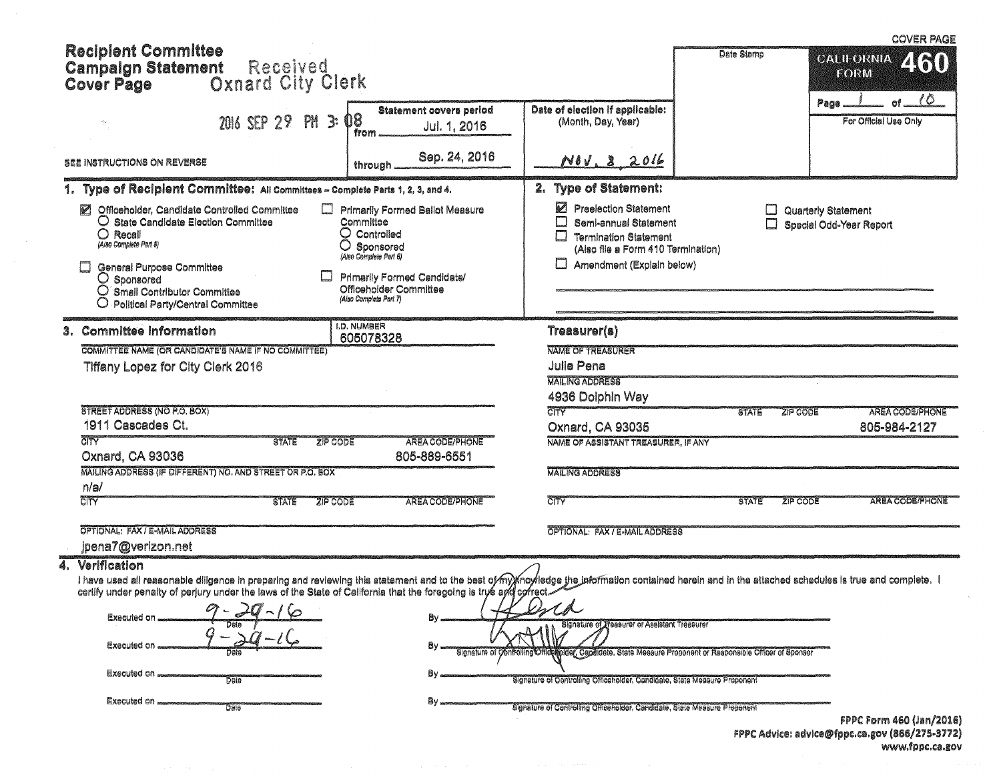| <b>Recipient Committee</b><br>Received<br><b>Campalgn Statement</b><br><b>Oxnard City Clerk</b><br><b>Cover Page</b>                                                                                                                                                                                                       |                                                                                                                                                                                           | Date Stamp                                                                                                                                                              | <b>COVER PAGE</b><br>CALIFORNIA 460<br>FORM<br>$\sqrt{6}$                  |                                                |
|----------------------------------------------------------------------------------------------------------------------------------------------------------------------------------------------------------------------------------------------------------------------------------------------------------------------------|-------------------------------------------------------------------------------------------------------------------------------------------------------------------------------------------|-------------------------------------------------------------------------------------------------------------------------------------------------------------------------|----------------------------------------------------------------------------|------------------------------------------------|
| 2016 SEP 29 PM 3:                                                                                                                                                                                                                                                                                                          | <b>Statement covers period</b><br>08<br>Jul. 1, 2016<br>from                                                                                                                              | Date of election if applicable:<br>(Month, Day, Year)                                                                                                                   |                                                                            | ٥f<br>Page.<br>For Official Use Only           |
| SEE INSTRUCTIONS ON REVERSE                                                                                                                                                                                                                                                                                                | Sep. 24, 2016<br>through                                                                                                                                                                  | <u>NOV. 8 2016</u>                                                                                                                                                      |                                                                            |                                                |
| 1. Type of Recipient Committee: All Committees - Complete Parts 1, 2, 3, and 4.                                                                                                                                                                                                                                            |                                                                                                                                                                                           | 2. Type of Statement:                                                                                                                                                   |                                                                            |                                                |
| Officeholder, Candidate Controlled Committee<br>O State Candidate Election Committee<br>$\bigcirc$ Recall<br>(Also Complete Part 5)<br>General Purpose Committee<br>O.<br>Sponsored<br>Small Contributor Committee<br>O<br>Political Party/Central Committee                                                               | Primarily Formed Ballot Measure<br>Committee<br>Controlled<br>O<br>Sponsored<br>(Also Complete Part 8)<br>Primarily Formed Candidate/<br>Officeholder Committee<br>(Also Complete Part 7) | Z<br><b>Preelection Statement</b><br>Semi-annual Statement<br>$\Box$<br><b>Termination Statement</b><br>(Also file a Form 410 Termination)<br>Amendment (Explain below) |                                                                            | Quarterly Statement<br>Special Odd-Year Report |
| 3. Committee Information                                                                                                                                                                                                                                                                                                   | <b>I.D. NUMBER</b><br>605078328                                                                                                                                                           | Treasurer(s)                                                                                                                                                            |                                                                            |                                                |
| COMMITTEE NAME (OR CANDIDATE'S NAME IF NO COMMITTEE)                                                                                                                                                                                                                                                                       |                                                                                                                                                                                           | <b>NAME OF TREASURER</b>                                                                                                                                                |                                                                            |                                                |
| Tiffany Lopez for City Clerk 2016                                                                                                                                                                                                                                                                                          |                                                                                                                                                                                           | Julie Pena<br><b>MAILING ADDRESS</b>                                                                                                                                    |                                                                            |                                                |
|                                                                                                                                                                                                                                                                                                                            |                                                                                                                                                                                           | 4936 Dolphin Way                                                                                                                                                        |                                                                            |                                                |
| <b>STREET ADDRESS (NO P.O. BOX)</b>                                                                                                                                                                                                                                                                                        |                                                                                                                                                                                           | <b>CITY</b>                                                                                                                                                             | ZIP CODE<br>STATE                                                          | AREA CODE/PHONE                                |
| 1911 Cascades Ct.                                                                                                                                                                                                                                                                                                          |                                                                                                                                                                                           | Oxnard, CA 93035                                                                                                                                                        |                                                                            | 805-984-2127                                   |
| CITY<br><b>STATE</b><br>ZIP CODE<br>Oxnard, CA 93036                                                                                                                                                                                                                                                                       | AREA CODE/PHONE<br>805-889-6551                                                                                                                                                           | NAME OF ASSISTANT TREASURER, IF ANY                                                                                                                                     |                                                                            |                                                |
| MAILING ADDRESS (IF DIFFERENT) NO. AND STREET OR P.O. BOX                                                                                                                                                                                                                                                                  |                                                                                                                                                                                           | <b>MAILING ADDRESS</b>                                                                                                                                                  |                                                                            |                                                |
| n/a/                                                                                                                                                                                                                                                                                                                       |                                                                                                                                                                                           |                                                                                                                                                                         |                                                                            |                                                |
| CITY<br><b>STATE</b><br>ZIP CODE                                                                                                                                                                                                                                                                                           | <b>AREA CODE/PHONE</b>                                                                                                                                                                    | eity                                                                                                                                                                    | <b>ZIP CODE</b><br><b>STATE</b>                                            | AREA CODE/PHONE                                |
| OPTIONAL: FAX / E-MAIL ADDRESS                                                                                                                                                                                                                                                                                             |                                                                                                                                                                                           | OPTIONAL: FAX / E-MAIL ADDRESS                                                                                                                                          |                                                                            |                                                |
| jpena7@verizon.net                                                                                                                                                                                                                                                                                                         |                                                                                                                                                                                           |                                                                                                                                                                         |                                                                            |                                                |
| <b>Verification</b><br>4.                                                                                                                                                                                                                                                                                                  |                                                                                                                                                                                           |                                                                                                                                                                         |                                                                            |                                                |
| l have used all reasonable diligence in preparing and reviewing this statement and to the best of my Knowledge the information contained herein and in the attached schedules is true and complete. I<br>certify under penalty of perjury under the laws of the State of California that the foregoing is true and correct |                                                                                                                                                                                           |                                                                                                                                                                         |                                                                            |                                                |
|                                                                                                                                                                                                                                                                                                                            |                                                                                                                                                                                           |                                                                                                                                                                         |                                                                            |                                                |
| Executed or                                                                                                                                                                                                                                                                                                                |                                                                                                                                                                                           | lgnature of Zreasurer or Assistant Treasurer                                                                                                                            |                                                                            |                                                |
| <b>Executed on</b>                                                                                                                                                                                                                                                                                                         |                                                                                                                                                                                           |                                                                                                                                                                         |                                                                            |                                                |
|                                                                                                                                                                                                                                                                                                                            | Sienature of                                                                                                                                                                              |                                                                                                                                                                         | ider, Capaldate, State Measure Proponent or Responsible Officer of Sponsor |                                                |
| Executed on<br>Date                                                                                                                                                                                                                                                                                                        |                                                                                                                                                                                           | Signature of Centrolling Officeholder, Candidate, State Measure Proponent                                                                                               |                                                                            |                                                |
| Executed on<br>Dais                                                                                                                                                                                                                                                                                                        |                                                                                                                                                                                           |                                                                                                                                                                         |                                                                            |                                                |
|                                                                                                                                                                                                                                                                                                                            |                                                                                                                                                                                           | Signature of Centrolling Officeholder, Candidate, State Measure Prepenent                                                                                               |                                                                            | FPPC Form 460 (Jan/2016)                       |
|                                                                                                                                                                                                                                                                                                                            |                                                                                                                                                                                           |                                                                                                                                                                         |                                                                            | FPPC Advice: advice@fppc.ca.gov (866/275-3772) |

 $\sim$   $\epsilon$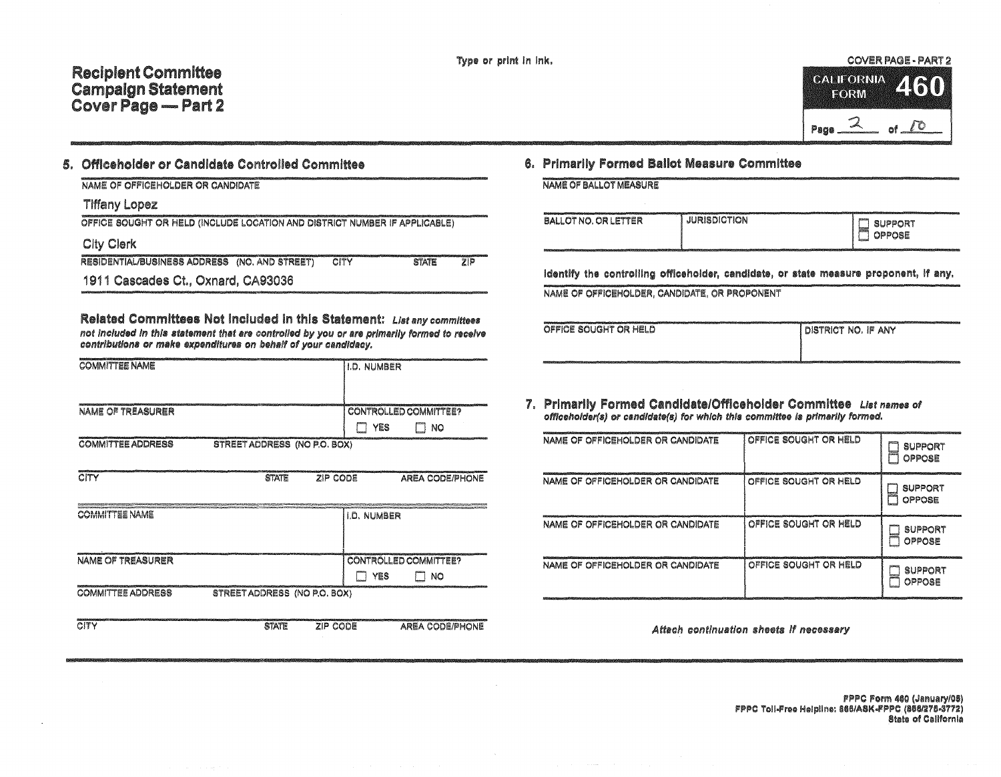#### **COVER PAGE - PART 2**



#### Officeholder or Candidate Controlled Committee 5.

|  |  |  | NAME OF OFFICEHOLDER OR CANDIDATE |  |
|--|--|--|-----------------------------------|--|
|  |  |  |                                   |  |

| Tiffany Lopez |  |
|---------------|--|
|---------------|--|

OFFICE SOUGHT OR HELD (INCLUDE LOCATION AND DISTRICT NUMBER IF APPLICABLE)

### **City Clerk**

RESIDENTIAL/BUSINESS ADDRESS (NO. AND STREET) CITY **STATE**  $\overline{Z|P}$ 

1911 Cascades Ct., Oxnard, CA93036

Related Committees Not included in this Statement: List any committees not included in this statement that are controlled by you or are primarily formed to receive contributions or make expenditures on behalf of your candidacy.

| <b>COMMITTEE NAME</b>    |                              |          | I.D. NUMBER        |                              |
|--------------------------|------------------------------|----------|--------------------|------------------------------|
|                          |                              |          |                    |                              |
| <b>NAME OF TREASURER</b> |                              |          |                    | <b>CONTROLLED COMMITTEE?</b> |
|                          |                              |          | YES                | NO                           |
| <b>COMMITTEE ADDRESS</b> | STREET ADDRESS (NO P.O. BOX) |          |                    |                              |
|                          |                              |          |                    |                              |
| CITY                     | <b>STATE</b>                 | ZIP CODE |                    | <b>AREA CODE/PHONE</b>       |
|                          |                              |          |                    |                              |
| COMMITTEE NAME           |                              |          | <b>I.D. NUMBER</b> |                              |
|                          |                              |          |                    |                              |
|                          |                              |          |                    |                              |
| <b>NAME OF TREASURER</b> |                              |          |                    | CONTROLLED COMMITTEE?        |
|                          |                              |          | <b>YES</b>         | NO                           |
| <b>COMMITTEE ADDRESS</b> | STREET ADDRESS (NO P.O. BOX) |          |                    |                              |
|                          |                              |          |                    |                              |
| CITY                     | <b>STATE</b>                 | ZIP CODE |                    | <b>AREA CODE/PHONE</b>       |

## 6. Primarily Formed Ballot Measure Committee

| http://www.analysis.com/www.analysis.com/www.analysis.com/www.analysis.com/www.analysis.com/www.analysis.com/w |  |  |  |
|----------------------------------------------------------------------------------------------------------------|--|--|--|
|                                                                                                                |  |  |  |
| NAME OF BALLOT MEASURE                                                                                         |  |  |  |
|                                                                                                                |  |  |  |
|                                                                                                                |  |  |  |

| TRAINING (2004) 2007 2017 12:30 AU 10:30 AU 10:30 AU 10:30 AU 10:30 AU 10:30 AU 10:30 AU 10:30 AU 10:30 AU 10:<br><b>BALLOT NO. OR LETTER</b> | <b>JURISDICTION</b> | www.holderstate.com/common-security/www.screen.com/common/common/common/common/common/common/common-security/www.screen.com<br><b>SUPPORT</b><br>borse.<br><b>PERSONAL</b><br><b>OPPOSE</b><br>نسسا |
|-----------------------------------------------------------------------------------------------------------------------------------------------|---------------------|-----------------------------------------------------------------------------------------------------------------------------------------------------------------------------------------------------|
|                                                                                                                                               |                     |                                                                                                                                                                                                     |

identify the controlling officeholder, candidate, or state measure proponent, if any.

NAME OF OFFICEHOLDER, CANDIDATE, OR PROPONENT

| <b><i><u>CONTRACTORS</u></i></b><br>OFFICE SOUGHT OR HELD | DISTRICT NO. IF ANY |  |
|-----------------------------------------------------------|---------------------|--|
|                                                           |                     |  |

7. Primarlly Formed Candidate/Officeholder Committee List names of officeholder(s) or candidate(s) for which this committee is primarily formed.

| NAME OF OFFICEHOLDER OR CANDIDATE | OFFICE SOUGHT OR HELD | <b>SUPPORT</b><br><b>OPPOSE</b>      |
|-----------------------------------|-----------------------|--------------------------------------|
| NAME OF OFFICEHOLDER OR CANDIDATE | OFFICE SOUGHT OR HELD | <b>SUPPORT</b><br>F<br><b>OPPOSE</b> |
| NAME OF OFFICEHOLDER OR CANDIDATE | OFFICE SOUGHT OR HELD | <b>SUPPORT</b><br><b>OPPOSE</b>      |
| NAME OF OFFICEHOLDER OR CANDIDATE | OFFICE SOUGHT OR HELD | <b>SUPPORT</b><br>⊨<br>OPPOSE        |

Attach continuation sheets if necessary

**PPPC Form 460 (January/05)** FPPC Toll-Free Helpline: 866/ASK-FPPC (866/275-3772) State of California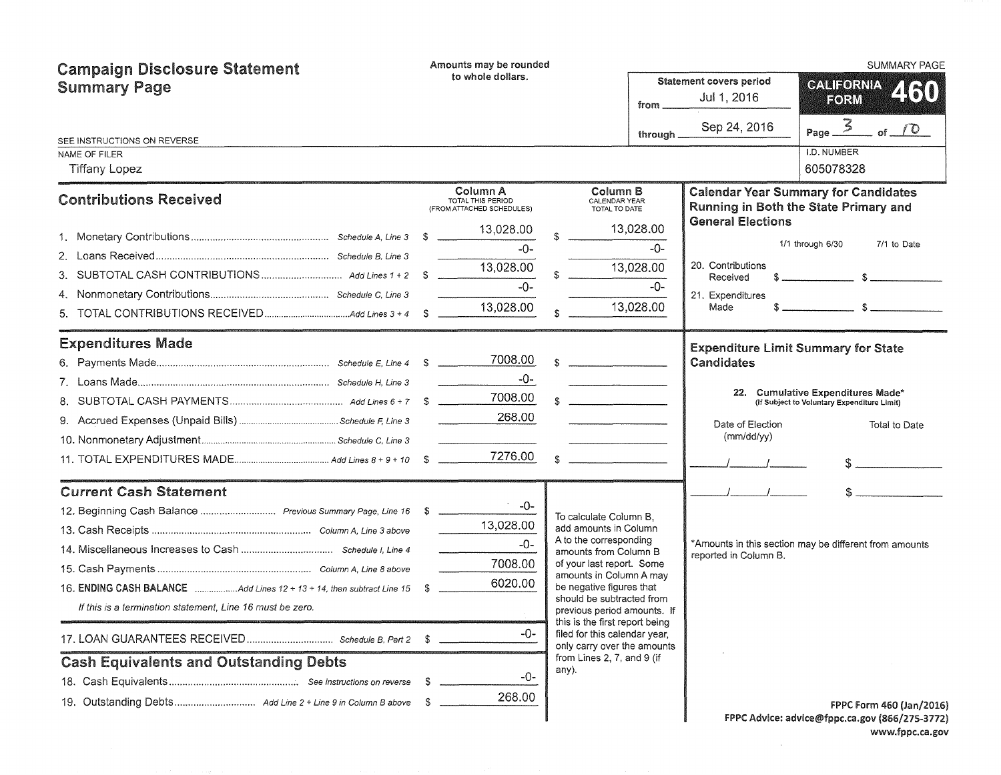| <b>Campaign Disclosure Statement</b>                                  |    | Amounts may be rounded                                     |                |                                                                                                |           |                                        | <b>SUMMARY PAGE</b>                                                                  |
|-----------------------------------------------------------------------|----|------------------------------------------------------------|----------------|------------------------------------------------------------------------------------------------|-----------|----------------------------------------|--------------------------------------------------------------------------------------|
| <b>Summary Page</b>                                                   |    | to whole dollars.<br>from.                                 |                |                                                                                                |           | Statement covers period<br>Jul 1, 2016 | <b>GALIFORNIA</b><br>2130<br>HORM                                                    |
| SEE INSTRUCTIONS ON REVERSE                                           |    |                                                            |                |                                                                                                | through   | Sep 24, 2016                           | $\tilde{\mathbf{z}}$<br>of $\sqrt{0}$<br>Page_                                       |
| NAME OF FILER                                                         |    |                                                            |                |                                                                                                |           |                                        | <b>I.D. NUMBER</b>                                                                   |
| <b>Tiffany Lopez</b>                                                  |    |                                                            |                |                                                                                                |           |                                        | 605078328                                                                            |
| <b>Contributions Received</b>                                         |    | Column A<br>TOTAL THIS PERIOD<br>(FROM ATTACHED SCHEDULES) |                | Column B<br>CALENDAR YEAR<br>TOTAL TO DATE                                                     |           |                                        | <b>Calendar Year Summary for Candidates</b><br>Running in Both the State Primary and |
|                                                                       |    | 13,028.00                                                  |                |                                                                                                | 13,028.00 | <b>General Elections</b>               |                                                                                      |
|                                                                       |    | $-()$ -                                                    |                |                                                                                                | $-0-$     |                                        | 1/1 through 6/30<br>7/1 to Date                                                      |
|                                                                       |    | 13,028.00                                                  |                |                                                                                                | 13,028.00 | 20. Contributions<br>Received          |                                                                                      |
|                                                                       |    | $-0-$                                                      |                |                                                                                                | -0-       | 21. Expenditures                       |                                                                                      |
| 5.                                                                    |    | 13,028.00                                                  |                |                                                                                                | 13,028.00 | Made                                   | $\frac{1}{2}$                                                                        |
| <b>Expenditures Made</b>                                              |    |                                                            |                |                                                                                                |           |                                        | <b>Expenditure Limit Summary for State</b>                                           |
|                                                                       |    | 7008.00                                                    | $\mathfrak{L}$ | the contract of the contract of the contract of                                                |           | Candidates                             |                                                                                      |
|                                                                       |    | $-0-$                                                      |                |                                                                                                |           |                                        |                                                                                      |
|                                                                       |    | 7008.00                                                    |                | $\sim$                                                                                         |           |                                        | 22. Cumulative Expenditures Made*<br>(If Subject to Voluntary Expenditure Limit)     |
|                                                                       |    | 268.00                                                     |                |                                                                                                |           | Date of Election                       | Total to Date                                                                        |
|                                                                       |    |                                                            |                |                                                                                                |           | (mm/dd/yy)                             |                                                                                      |
|                                                                       |    | 7276.00                                                    | $\mathcal{S}$  |                                                                                                |           |                                        |                                                                                      |
| <b>Current Cash Statement</b>                                         |    |                                                            |                |                                                                                                |           |                                        |                                                                                      |
| 12. Beginning Cash Balance  Previous Summary Page, Line 16 \$         |    | $-0-$                                                      |                | To calculate Column B,                                                                         |           |                                        |                                                                                      |
|                                                                       |    | 13,028.00                                                  |                | add amounts in Column                                                                          |           |                                        |                                                                                      |
|                                                                       |    | $-0-$                                                      |                | A to the corresponding<br>amounts from Column B                                                |           | reported in Column B.                  | *Amounts in this section may be different from amounts                               |
|                                                                       |    | 7008.00                                                    |                | of your last report. Some<br>amounts in Column A may                                           |           |                                        |                                                                                      |
| 16. ENDING CASH BALANCE Add Lines 12 + 13 + 14, then subtract Line 15 | S  | 6020.00                                                    |                | be negative figures that                                                                       |           |                                        |                                                                                      |
| If this is a termination statement. Line 16 must be zero.             |    |                                                            |                | should be subtracted from<br>previous period amounts. If                                       |           |                                        |                                                                                      |
|                                                                       |    | -0-                                                        |                | this is the first report being<br>filed for this calendar year,<br>only carry over the amounts |           |                                        |                                                                                      |
| <b>Cash Equivalents and Outstanding Debts</b>                         |    |                                                            |                | from Lines 2, 7, and 9 (if<br>any).                                                            |           |                                        |                                                                                      |
|                                                                       | -5 | -0-                                                        |                |                                                                                                |           |                                        |                                                                                      |
|                                                                       | -S | 268.00                                                     |                |                                                                                                |           |                                        | FPPC Form 460 (Jan/2016)                                                             |
|                                                                       |    |                                                            |                |                                                                                                |           |                                        | FPPC Advice: advice@fppc.ca.gov (866/275-3772)                                       |

FPPC Advice: advice@fppc.ca.gov (866/275-3772) www.fppc.ca.gov

 $\mathcal{L}^{\text{max}}_{\text{max}}$  and  $\mathcal{L}^{\text{max}}_{\text{max}}$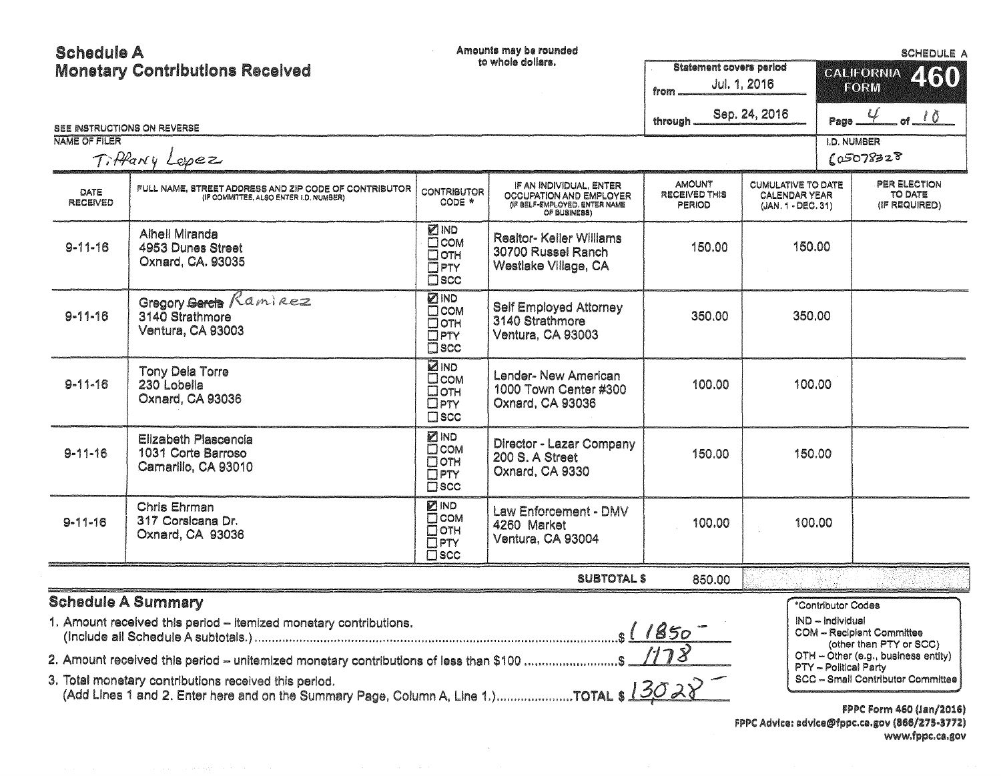**Schedule A** Amounts may be rounded SCHEDULE A to whole dollars. **Monetary Contributions Received Statement covers period** CALIFORNIA 2180 Jul. 1, 2016 FORM from Page  $4 - 01$  10 Sep. 24, 2016 through SEE INSTRUCTIONS ON REVERSE NAME OF FILER **I.D. NUMBER** Tiffany Lepez  $105078328$ **AMOUNT CUMULATIVE TO DATE** PER ELECTION IF AN INDIVIDUAL, ENTER FULL NAME, STREET ADDRESS AND ZIP CODE OF CONTRIBUTOR **CONTRIBUTOR** DATE RECEIVED THIS CALENDAR YEAR **TO DATE** OCCUPATION AND EMPLOYER (IF COMMITTEE, ALSO ENTER I.D. NUMBER) RECEIVED CODE \* (IF BELF-EMPLOYED, ENTER NAME PERIOD (IF REQUIRED) (JAN. 1 - DEC. 31) OF BUSINESS) **ZIND** Alhell Miranda Realtor- Keller Williams  $\Box$ COM  $9 - 11 - 16$ 4953 Dunes Street 150.00 150.00  $\overline{D}$  OTH 30700 Russel Ranch Oxnard, CA, 93035 Westlake Village, CA  $\Box$ PTY  $\overline{\Box}$ scc Gregory Gereta Ramirez **DIND** Self Employed Attorney  $\Box$ COM  $9 - 11 - 16$ 350.00 3140 Strathmore 350.00 3140 Strathmore Потн Ventura, CA 93003  $DPTY$ Ventura, CA 93003  $\overline{\Box}$  scc **DIND** Tony Dela Torre Lender- New American **Псом**  $9 - 11 - 16$ 100.00 100.00 230 Lobella 1000 Town Center #300 **Потн** Oxnard, CA 93036 Oxnard, CA 93036  $\square$ PTY  $\square$  scc **ZIND Elizabeth Plascencia** Director - Lazar Company **D** COM  $9 - 11 - 16$ 1031 Corte Barroso 150.00 150.00 200 S. A Street Потн Camarillo, CA 93010 Oxnard, CA 9330 **OPTY**  $\bar{\Box}$ scc Chris Ehrman **ZIND** Law Enforcement - DMV  $\Box$  COM 317 Corsicana Dr.  $9 - 11 - 16$ 100.00 100.00 4260 Market  $\overline{\Box}$  OTH Oxnard, CA 93036 Ventura, CA 93004  $\Box$ PTY  $\Box$ scc **SUBTOTAL \$** 850.00 **Schedule A Summary** \*Contributor Codes 1. Amount received this period - itemized monetary contributions. IND - Individual (include all Schedule A subtotals.) (include all Schedule A subtotals.) (include all Schedule A subtotals.) ( $1850$ <br>2. Amount received this period – unitemized monetary contributions of less than \$100 .................... **COM - Recipient Committee** (other than PTY or SCC) OTH - Other (e.g., business entity) PTY - Political Party SCC - Small Contributor Committee

3. Total monetary contributions received this period. 

FPPC Form 460 (Jan/2016) FPPC Advice: advice@fppc.ca.gov (866/275-3772) www.fppc.ca.gov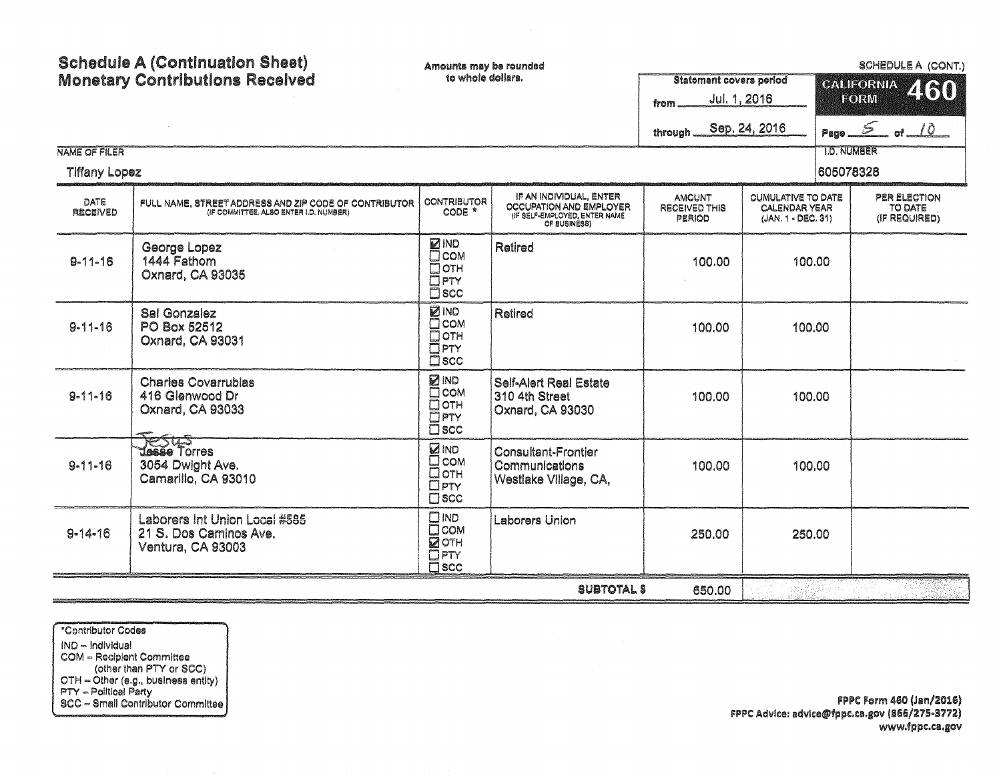| <b>NAME OF FILER</b><br>Tiffany Lopez | <b>Schedule A (Continuation Sheet)</b><br><b>Monetary Contributions Received</b>             | Amounts may be rounded<br>to whole dollars.                                                          |                                                                                                            | <b>Statement covers period</b><br>from<br>through | Jul. 1, 2016<br>Sep. 24, 2016                                           | <b>TORM</b><br><b>T.D. NUMBER</b><br>605078328 | SCHEDULE A (CONT.)<br><b>CALIFORNIA</b><br>460<br>Page $5$ of $10$ |
|---------------------------------------|----------------------------------------------------------------------------------------------|------------------------------------------------------------------------------------------------------|------------------------------------------------------------------------------------------------------------|---------------------------------------------------|-------------------------------------------------------------------------|------------------------------------------------|--------------------------------------------------------------------|
| DATE<br>RECEIVED                      | FULL NAME, STREET ADDRESS AND ZIP CODE OF CONTRIBUTOR (IF COMMITTEE, ALSO ENTER I.D. NUMBER) | <b>CONTRIBUTOR</b><br>CODE *                                                                         | IF AN INDIVIDUAL, ENTER<br><b>OCCUPATION AND EMPLOYER</b><br>(IF SELF-EMPLOYED, ENTER NAME<br>OF BUSINESS) | <b>AMOUNT</b><br><b>RECEIVED THIS</b><br>PERIOD   | <b>CUMULATIVE TO DATE</b><br><b>CALENDAR YEAR</b><br>(JAN. 1 - DEC. 31) |                                                | <b>PER ELECTION</b><br>TO DATE<br>(IF REQUIRED)                    |
| $9 - 11 - 16$                         | George Lopez<br>1444 Fathom<br>Oxnard, CA 93035                                              | <b>ZIND</b><br>$\overline{\Box}$ COM<br>□отн<br>OPTY<br>$\bar{\Box}$ scc                             | Retired                                                                                                    | 100.00                                            | 100.00                                                                  |                                                |                                                                    |
| $9 - 11 - 16$                         | Sal Gonzalez<br>PO Box 52512<br>Oxnard, CA 93031                                             | <b>ZIND</b><br>$\overline{\Box}$ COM<br>$\overline{\Box}$ OTH<br>$\Box$ PTY<br>$\overline{\Box}$ scc | Retired                                                                                                    | 100.00                                            | 100,00                                                                  |                                                |                                                                    |
| $9 - 11 - 16$                         | <b>Charles Covarrublas</b><br>416 Glenwood Dr<br>Oxnard, CA 93033                            | <b>ZIND</b><br><b>COM</b><br>$\Box$ OTH<br>$\Box$ PTY<br>$\square$ scc                               | <b>Self-Alert Real Estate</b><br>310 4th Street<br>Oxnard, CA 93030                                        | 100,00                                            | 100.00                                                                  |                                                |                                                                    |
| $9 - 11 - 16$                         | <b>Testas</b><br>3054 Dwight Ave.<br>Camarillo, CA 93010                                     | <b>ZIND</b><br>Осом<br>□отн<br>$\Box$ PTY<br>$\square$ scc                                           | Consultant-Frontier<br>Communications<br>Westlake Village, CA,                                             | 100.00                                            | 100.00                                                                  |                                                |                                                                    |
| $9 - 14 - 16$                         | Laborers Int Union Local #585<br>21 S. Dos Caminos Ave.<br>Ventura, CA 93003                 | $\square$ IND<br>$\square$ COM<br>⊠отн<br>OPTY<br>$\square$ scc                                      | Laborers Union                                                                                             | 250.00                                            | 250.00                                                                  |                                                |                                                                    |
|                                       |                                                                                              |                                                                                                      | <b>SUBTOTAL \$</b>                                                                                         | 650.00                                            |                                                                         |                                                |                                                                    |

\*Contributor Codes IND - Individual **COM - Recipient Committee** (other than PTY or SCC)<br>
OTH – Other (e.g., business entity)<br>
PTY – Political Party<br>
SCC – Small Contributor Committee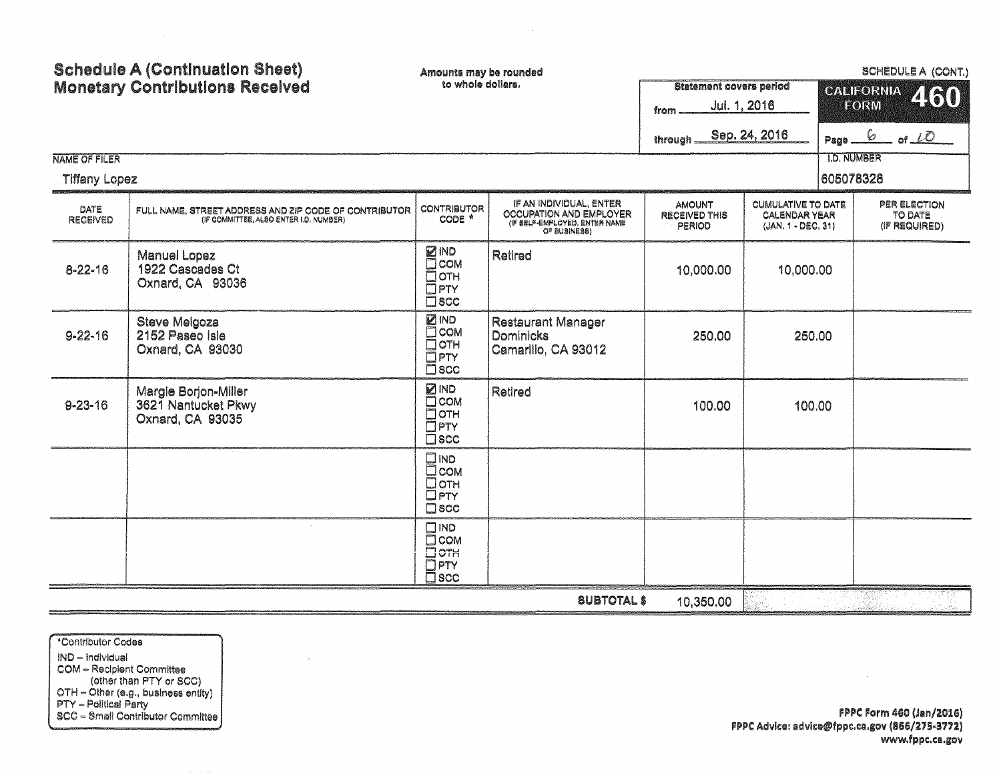| <b>NAME OF FILER</b><br><b>Tiffany Lopez</b> | <b>Schedule A (Continuation Sheet)</b><br><b>Monetary Contributions Received</b>                | Amounts may be rounded<br>to whole dollars.                                       |                                                                                                     | <b>Statement covers period</b><br>Jul. 1, 2016<br>from<br>through. | Sep. 24, 2016                                                           | <b>1.D. NUMBER</b><br>605078328 | <b>SCHEDULE A (CONT.)</b><br><b>CALIFORNIA</b><br>460<br>FORM<br>Page $6 - 10$ |  |
|----------------------------------------------|-------------------------------------------------------------------------------------------------|-----------------------------------------------------------------------------------|-----------------------------------------------------------------------------------------------------|--------------------------------------------------------------------|-------------------------------------------------------------------------|---------------------------------|--------------------------------------------------------------------------------|--|
| DATE<br><b>RECEIVED</b>                      | FULL NAME, STREET ADDRESS AND ZIP CODE OF CONTRIBUTOR<br>(IF COMMITTEE, ALSO ENTER I.D. NUMBER) | CONTRIBUTOR<br>CODE *                                                             | IF AN INDIVIDUAL, ENTER<br>OCCUPATION AND EMPLOYER<br>(IF SELF-EMPLOYED, ENTER NAME<br>OF BUSINESS) | <b>AMOUNT</b><br><b>RECEIVED THIS</b><br><b>PERIOD</b>             | <b>CUMULATIVE TO DATE</b><br><b>CALENDAR YEAR</b><br>(JAN. 1 - DEC. 31) |                                 | PER ELECTION<br>TO DATE<br>(IF REQUIRED)                                       |  |
| $8 - 22 - 16$                                | Manuel Lopez<br>1922 Cascades Ct<br>Oxnard, CA 93036                                            | <b>ZIND</b><br><b>O</b> com<br>$\bar{\Box}$ OTH<br>OPTY<br>$\square$ scc          | Retired                                                                                             | 10,000.00                                                          | 10,000.00                                                               |                                 |                                                                                |  |
| $9 - 22 - 16$                                | Steve Melgoza<br>2152 Paseo Isle<br>Oxnard, CA 93030                                            | <b>ZIND</b><br>Псом<br>$\Box$ OTH<br>$\square$ PTY<br>$\square$ scc               | <b>Restaurant Manager</b><br>Dominicks<br>Camarillo, CA 93012                                       | 250.00                                                             | 250,00                                                                  |                                 |                                                                                |  |
| $9 - 23 - 16$                                | Margie Borjon-Miller<br>3621 Nantucket Pkwy<br>Oxnard, CA 93035                                 | <b>ZIND</b><br>$\Box$ COM<br>$\overline{\Box}$ OTH<br>$\Box$ PTY<br>$\square$ scc | Retired                                                                                             | 100.00                                                             | 100.00                                                                  |                                 |                                                                                |  |
|                                              |                                                                                                 | $\square$ IND<br><b>D</b> COM<br>Потн<br>$\Box$ PTY<br>$\square$ scc              |                                                                                                     |                                                                    |                                                                         |                                 |                                                                                |  |
|                                              |                                                                                                 | $\square$ IND<br>$\Box$ COM<br>$\Box$ OTH<br>$\Box$ PTY<br>$\square$ scc          |                                                                                                     |                                                                    |                                                                         |                                 |                                                                                |  |
|                                              | <b>SUBTOTAL \$</b><br>10,350.00                                                                 |                                                                                   |                                                                                                     |                                                                    |                                                                         |                                 |                                                                                |  |

 $\sim$ 

\*Contributor Codes IND - Individual **COM - Recipient Committee** OCM - Helpierik Committee<br>
OTH - Other (e.g., business entity)<br>
PTY - Political Party<br>
SCC - Small Contributor Committee

 $\sim 10^{11}$  m  $^{-1}$ 

 $\mathcal{L}^{\text{max}}_{\text{max}}$  and  $\mathcal{L}^{\text{max}}_{\text{max}}$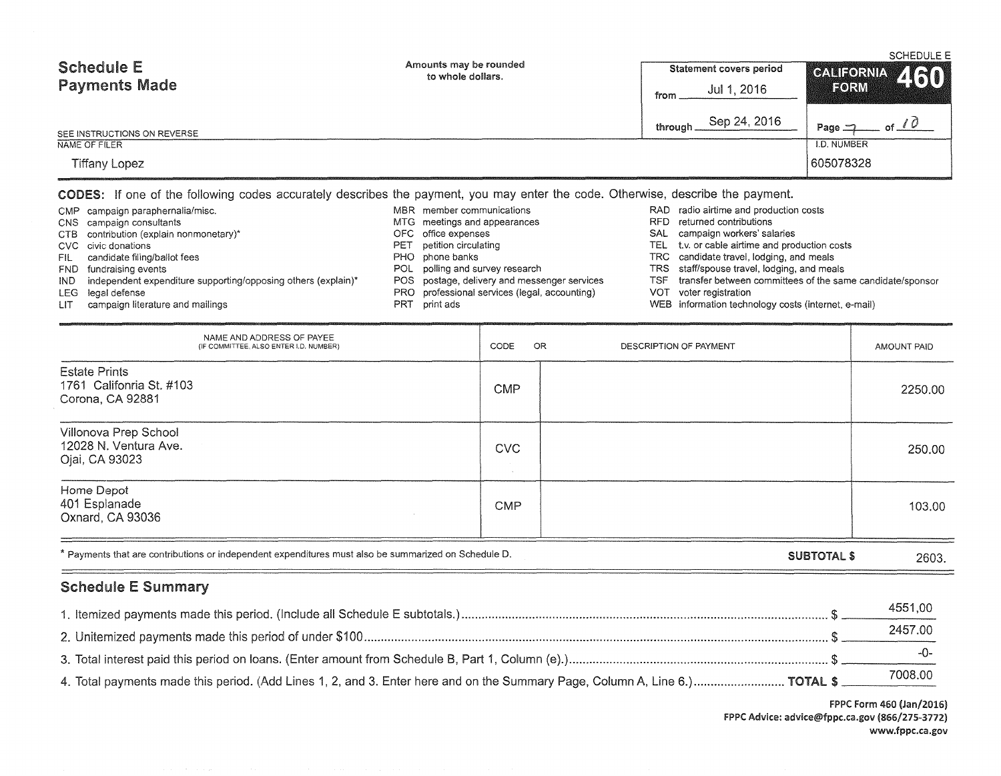| <b>Schedule E</b><br><b>Payments Made</b> | Amounts may be rounded<br>to whole dollars. | Statement covers period  | <b>SCHEDULE E</b><br>CALIFORNIA 460 |
|-------------------------------------------|---------------------------------------------|--------------------------|-------------------------------------|
|                                           |                                             | Jul 1, 2016<br>from      | FORM                                |
| SEE INSTRUCTIONS ON REVERSE               |                                             | Sep 24, 2016<br>through. | of $\ell$<br>Page $\Box$            |
| NAME OF FILER                             |                                             |                          | I.D. NUMBER                         |
| <b>Tiffany Lopez</b>                      |                                             |                          | 605078328                           |

### CODES: If one of the following codes accurately describes the payment, you may enter the code. Otherwise, describe the payment.

|      | CMP campaign paraphernalia/misc.                                  |     | MBR member communications                     | RAD radio airtime and production costs                        |
|------|-------------------------------------------------------------------|-----|-----------------------------------------------|---------------------------------------------------------------|
|      | CNS campaign consultants                                          |     | MTG meetings and appearances                  | RFD returned contributions                                    |
|      | CTB contribution (explain nonmonetary)*                           |     | OFC office expenses                           | SAL campaign workers' salaries                                |
|      | CVC civic donations                                               | PET | petition circulating                          | TEL t.v. or cable airtime and production costs                |
|      | FIL candidate filing/ballot fees                                  |     | PHO phone banks                               | TRC candidate travel, lodging, and meals                      |
|      | FND fundraising events                                            |     | POL polling and survey research               | TRS staff/spouse travel, lodging, and meals                   |
|      | IND independent expenditure supporting/opposing others (explain)* |     | POS postage, delivery and messenger services  | TSF transfer between committees of the same candidate/sponsor |
|      | LEG legal defense                                                 |     | PRO professional services (legal, accounting) | VOT voter registration                                        |
| LIT. | campaign literature and mailings                                  | PR1 | print ads                                     | WEB information technology costs (internet, e-mail)           |

| NAME AND ADDRESS OF PAYEE<br>(IF COMMITTEE, ALSO ENTER I.D. NUMBER)                                  | CODE          | OR<br>DESCRIPTION OF PAYMENT |                    | AMOUNT PAID |
|------------------------------------------------------------------------------------------------------|---------------|------------------------------|--------------------|-------------|
| <b>Estate Prints</b><br>1761 Califonria St. #103<br>Corona, CA 92881                                 | <b>CMP</b>    |                              |                    | 2250.00     |
| Villonova Prep School<br>12028 N. Ventura Ave.<br>Ojai, CA 93023                                     | CVC<br>$\sim$ |                              |                    | 250.00      |
| Home Depot<br>401 Esplanade<br>Oxnard, CA 93036                                                      | <b>CMP</b>    |                              |                    | 103.00      |
| * Payments that are contributions or independent expenditures must also be summarized on Schedule D. |               |                              | <b>SUBTOTAL \$</b> | 2603.       |

# Schedule E Summary

 $\qquad \qquad$ 

|                                                                                                                             | 2457.00 |
|-----------------------------------------------------------------------------------------------------------------------------|---------|
|                                                                                                                             |         |
| 4. Total payments made this period. (Add Lines 1, 2, and 3. Enter here and on the Summary Page, Column A, Line 6.) TOTAL \$ | 7008.00 |

FPPC Form 460 (Jan/2016) FPPC Advice: advice@fppc.ca.gov (866/275-3772) www.fppc.ca.gov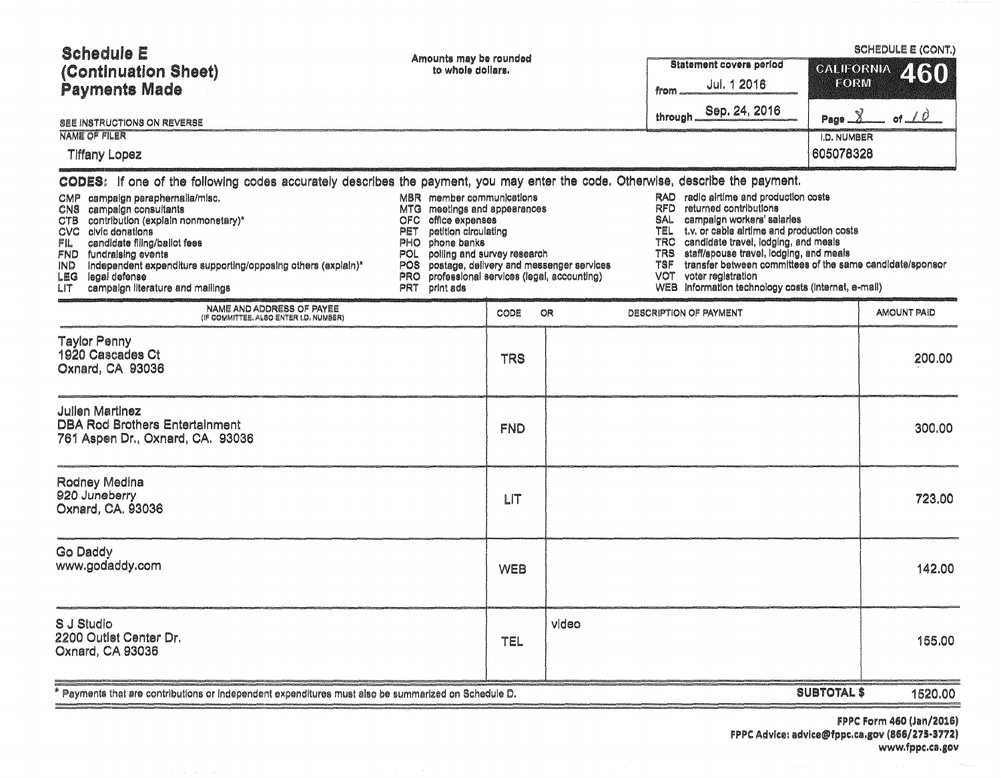| <b>Schedule E</b><br><i>(Continuation Sheet)</i><br><b>Payments Made</b>                                                                                                                                                                                                                                                                              | Amounts may be rounded<br>to whole dollars.                                                                                                                                                                                                                      |            |                                          | from                                                                | <b>Statement covers period</b><br>Jul. 1 2016<br>through Sep. 24, 2016                                                                                                                                                                                                                                                                                                    | FORM                              | <b>SCHEDULE E (CONT.)</b><br>CALIFORNIA 460<br>of $\angle \theta$ |
|-------------------------------------------------------------------------------------------------------------------------------------------------------------------------------------------------------------------------------------------------------------------------------------------------------------------------------------------------------|------------------------------------------------------------------------------------------------------------------------------------------------------------------------------------------------------------------------------------------------------------------|------------|------------------------------------------|---------------------------------------------------------------------|---------------------------------------------------------------------------------------------------------------------------------------------------------------------------------------------------------------------------------------------------------------------------------------------------------------------------------------------------------------------------|-----------------------------------|-------------------------------------------------------------------|
| SEE INSTRUCTIONS ON REVERSE<br><b>NAME OF FILER</b>                                                                                                                                                                                                                                                                                                   |                                                                                                                                                                                                                                                                  |            |                                          |                                                                     |                                                                                                                                                                                                                                                                                                                                                                           | Page $\chi$<br><b>I.D. NUMBER</b> |                                                                   |
| <b>Tiffany Lopez</b>                                                                                                                                                                                                                                                                                                                                  |                                                                                                                                                                                                                                                                  |            |                                          |                                                                     |                                                                                                                                                                                                                                                                                                                                                                           | 605078328                         |                                                                   |
| CODES: If one of the following codes accurately describes the payment, you may enter the code. Otherwise, describe the payment.                                                                                                                                                                                                                       |                                                                                                                                                                                                                                                                  |            |                                          |                                                                     |                                                                                                                                                                                                                                                                                                                                                                           |                                   |                                                                   |
| campaign paraphernalla/misc.<br>CMP.<br>CNS campaign consultants<br>contribution (explain nonmonetary)*<br>CTB<br>CVC civic donations<br>candidate filing/ballot fees<br>FIL<br>fundraising events<br>FND<br>independent expenditure supporting/opposing others (explain)*<br>IND.<br>legal defense<br>LEG<br>campaign literature and mailings<br>LIT | MBR member communications<br>meetings and appearances<br>MTG.<br>OFC<br>office expenses<br>petition circulating<br>PET<br>phone banks<br>PHO.<br>polling and survey research<br>POL<br>POS.<br>professional services (legal, accounting)<br>PRO<br>PRT print ads |            | postage, delivery and messenger services | <b>RFD</b><br>SAL<br>TEL<br>TRC.<br><b>TRS</b><br>TSF<br><b>VOT</b> | RAD radio airtime and production costs<br>returned contributions<br>campaign workers' salaries<br>t.v. or cable airtime and production costs<br>candidate travel, lodging, and meals<br>staff/spouse travel, lodging, and meals<br>transfer between committees of the same candidate/sponsor<br>voter registration<br>WEB Information technology costs (internet, e-mail) |                                   |                                                                   |
| NAME AND ADDRESS OF PAYEE<br>(IF COMMITTEE, ALSO ENTER I,D. NUMBER)                                                                                                                                                                                                                                                                                   |                                                                                                                                                                                                                                                                  | CODE       | OR                                       |                                                                     | DESCRIPTION OF PAYMENT                                                                                                                                                                                                                                                                                                                                                    |                                   | AMOUNT PAID                                                       |
| <b>Taylor Penny</b><br>1920 Cascades Ct<br>Oxnard, CA 93036                                                                                                                                                                                                                                                                                           |                                                                                                                                                                                                                                                                  | <b>TRS</b> |                                          |                                                                     |                                                                                                                                                                                                                                                                                                                                                                           |                                   | 200.00                                                            |
| <b>Julien Martinez</b><br><b>DBA Rod Brothers Entertainment</b><br>761 Aspen Dr., Oxnard, CA. 93036                                                                                                                                                                                                                                                   |                                                                                                                                                                                                                                                                  | <b>FND</b> |                                          |                                                                     |                                                                                                                                                                                                                                                                                                                                                                           |                                   | 300.00                                                            |
| Rodney Medina<br>920 Juneberry<br>Oxnard, CA. 93036                                                                                                                                                                                                                                                                                                   |                                                                                                                                                                                                                                                                  | LIT        |                                          |                                                                     |                                                                                                                                                                                                                                                                                                                                                                           |                                   | 723.00                                                            |
| Go Daddy<br>www.godaddy.com                                                                                                                                                                                                                                                                                                                           |                                                                                                                                                                                                                                                                  | <b>WEB</b> |                                          |                                                                     |                                                                                                                                                                                                                                                                                                                                                                           |                                   | 142.00                                                            |
| S J Studio<br>2200 Outlet Center Dr.<br>Oxnard, CA 93036                                                                                                                                                                                                                                                                                              |                                                                                                                                                                                                                                                                  | <b>TEL</b> | video                                    |                                                                     |                                                                                                                                                                                                                                                                                                                                                                           |                                   | 155.00                                                            |
| Payments that are contributions or independent expenditures must also be summarized on Schedule D.                                                                                                                                                                                                                                                    |                                                                                                                                                                                                                                                                  |            |                                          |                                                                     |                                                                                                                                                                                                                                                                                                                                                                           | <b>SUBTOTAL \$</b>                | 1520.00                                                           |

FPPC Form 460 (Jan/2016)<br>FPPC Advice: advice@fppc.ca.gov (866/275-3772)<br>www.fppc.ca.gov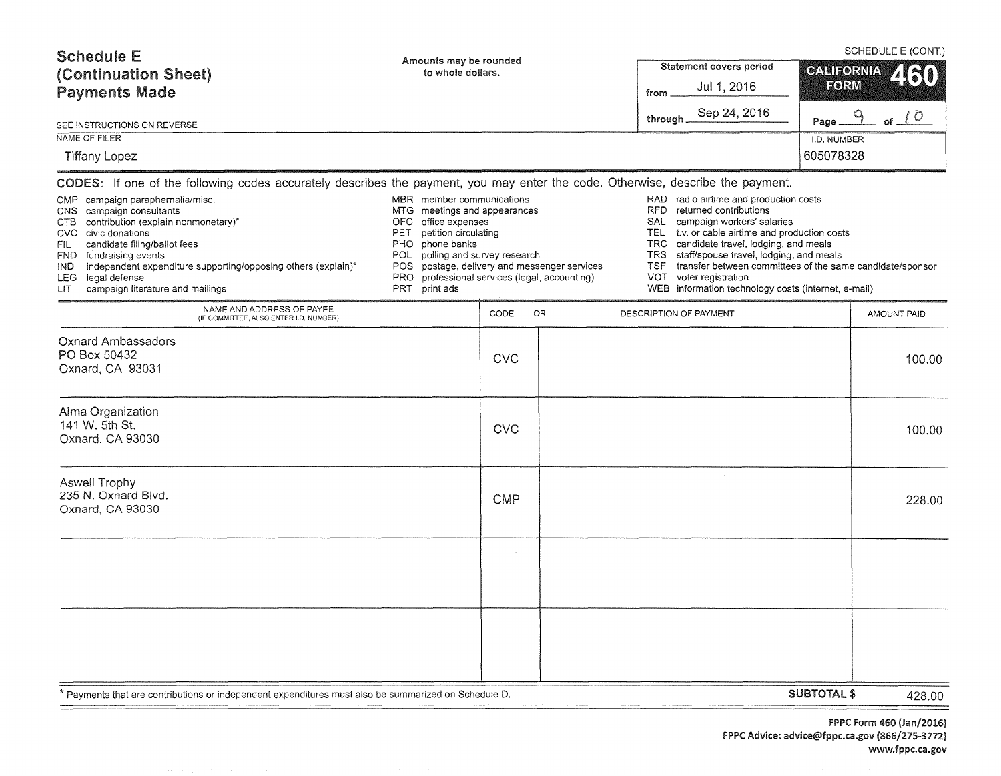| <b>Schedule E</b><br>(Continuation Sheet)<br><b>Payments Made</b>                                                                                                                                                                                                                                                                                                                                                                                                                                                                                          | Amounts may be rounded<br>to whole dollars. |            |                                                                                                                                                                                                                                                                                                                                                       | from                   | <b>Statement covers period</b><br>Jul 1, 2016<br>Sep 24, 2016 |                                                                                                                                                                                                           | SCHEDULE E (CONT.)<br>CALIFORNIA 460<br>FORM |  |
|------------------------------------------------------------------------------------------------------------------------------------------------------------------------------------------------------------------------------------------------------------------------------------------------------------------------------------------------------------------------------------------------------------------------------------------------------------------------------------------------------------------------------------------------------------|---------------------------------------------|------------|-------------------------------------------------------------------------------------------------------------------------------------------------------------------------------------------------------------------------------------------------------------------------------------------------------------------------------------------------------|------------------------|---------------------------------------------------------------|-----------------------------------------------------------------------------------------------------------------------------------------------------------------------------------------------------------|----------------------------------------------|--|
| SEE INSTRUCTIONS ON REVERSE                                                                                                                                                                                                                                                                                                                                                                                                                                                                                                                                |                                             |            |                                                                                                                                                                                                                                                                                                                                                       | through_               |                                                               | Page                                                                                                                                                                                                      | of $10$<br>9                                 |  |
| NAME OF FILER<br><b>Tiffany Lopez</b>                                                                                                                                                                                                                                                                                                                                                                                                                                                                                                                      |                                             |            |                                                                                                                                                                                                                                                                                                                                                       |                        |                                                               | I.D. NUMBER<br>605078328                                                                                                                                                                                  |                                              |  |
| CODES: If one of the following codes accurately describes the payment, you may enter the code. Otherwise, describe the payment.                                                                                                                                                                                                                                                                                                                                                                                                                            |                                             |            |                                                                                                                                                                                                                                                                                                                                                       |                        |                                                               |                                                                                                                                                                                                           |                                              |  |
| MBR member communications<br>CMP campaign paraphernalia/misc.<br>CNS campaign consultants<br>MTG meetings and appearances<br>contribution (explain nonmonetary)*<br>office expenses<br>OFC.<br>CTB.<br>civic donations<br>PET<br>petition circulating<br>CVC.<br>candidate filing/ballot fees<br>phone banks<br>PHO.<br>FIL.<br><b>POL</b><br>fundraising events<br>FND.<br>independent expenditure supporting/opposing others (explain)*<br>POS.<br>IND.<br>legal defense<br>PRO.<br>LEG.<br>campaign literature and mailings<br>PRT<br>print ads<br>LIT. |                                             |            | RAD radio airtime and production costs<br>returned contributions<br>RFD<br>SAL<br>campaign workers' salaries<br>TEL.<br>TRC.<br>candidate travel, lodging, and meals<br>polling and survey research<br><b>TRS</b><br>postage, delivery and messenger services<br><b>TSF</b><br>voter registration<br>professional services (legal, accounting)<br>VOT |                        |                                                               | t.v. or cable airtime and production costs<br>staff/spouse travel, lodging, and meals<br>transfer between committees of the same candidate/sponsor<br>WEB information technology costs (internet, e-mail) |                                              |  |
| NAME AND ADDRESS OF PAYEE<br>(IF COMMITTEE, ALSO ENTER I.D. NUMBER)                                                                                                                                                                                                                                                                                                                                                                                                                                                                                        |                                             | CODE       | OR                                                                                                                                                                                                                                                                                                                                                    | DESCRIPTION OF PAYMENT |                                                               |                                                                                                                                                                                                           | AMOUNT PAID                                  |  |
| <b>Oxnard Ambassadors</b><br>PO Box 50432<br>Oxnard, CA 93031                                                                                                                                                                                                                                                                                                                                                                                                                                                                                              |                                             | <b>CVC</b> |                                                                                                                                                                                                                                                                                                                                                       |                        |                                                               |                                                                                                                                                                                                           | 100.00                                       |  |
| Alma Organization<br>141 W. 5th St.<br>Oxnard, CA 93030                                                                                                                                                                                                                                                                                                                                                                                                                                                                                                    |                                             | <b>CVC</b> |                                                                                                                                                                                                                                                                                                                                                       |                        |                                                               |                                                                                                                                                                                                           | 100.00                                       |  |
| Aswell Trophy<br>235 N. Oxnard Blvd.<br>Oxnard, CA 93030                                                                                                                                                                                                                                                                                                                                                                                                                                                                                                   |                                             | <b>CMP</b> |                                                                                                                                                                                                                                                                                                                                                       |                        |                                                               |                                                                                                                                                                                                           | 228.00                                       |  |
|                                                                                                                                                                                                                                                                                                                                                                                                                                                                                                                                                            |                                             |            |                                                                                                                                                                                                                                                                                                                                                       |                        |                                                               |                                                                                                                                                                                                           |                                              |  |
|                                                                                                                                                                                                                                                                                                                                                                                                                                                                                                                                                            |                                             |            |                                                                                                                                                                                                                                                                                                                                                       |                        |                                                               |                                                                                                                                                                                                           |                                              |  |
| * Payments that are contributions or independent expenditures must also be summarized on Schedule D.                                                                                                                                                                                                                                                                                                                                                                                                                                                       |                                             |            |                                                                                                                                                                                                                                                                                                                                                       |                        |                                                               | <b>SUBTOTAL \$</b>                                                                                                                                                                                        | 428.00                                       |  |

FPPC Form 460 (Jan/2016) FPPC Advice: advice@fppc.ca.gov (866/275-3772) www.fppc.ca.gov